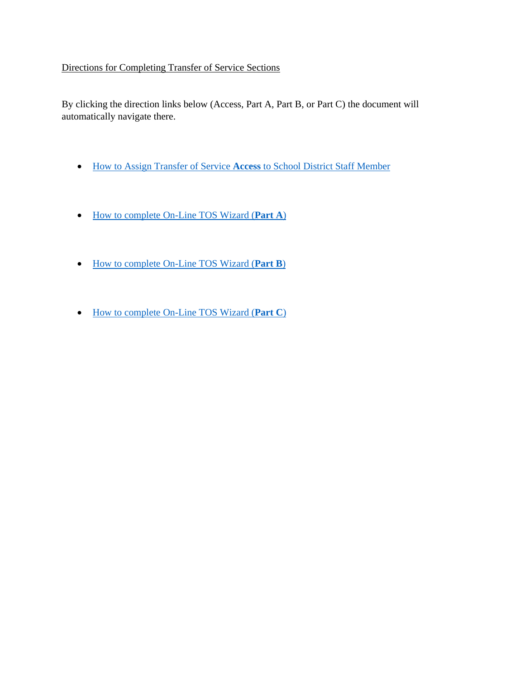## Directions for Completing Transfer of Service Sections

By clicking the direction links below (Access, Part A, Part B, or Part C) the document will automatically navigate there.

- How to Assign Transfer of Service **Access** [to School District Staff Member](#page-1-0)
- [How to complete On-Line TOS Wizard \(](#page-2-0)**Part A**)
- [How to complete On-Line TOS Wizard \(](#page-5-0)**Part B**)
- [How to complete On-Line TOS Wizard \(](#page-8-0)**Part C**)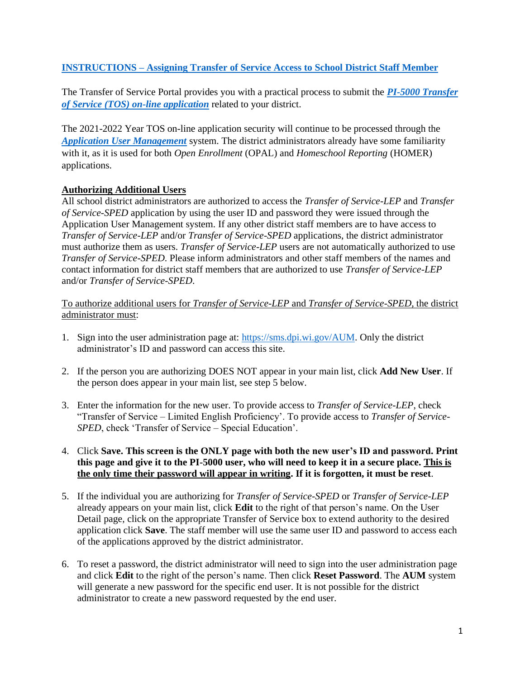## <span id="page-1-0"></span>**INSTRUCTIONS – [Assigning Transfer of Service Access](#page-1-0) to School District Staff Member**

The Transfer of Service Portal provides you with a practical process to submit the *[PI-5000 Transfer](https://sfs.dpi.wi.gov/TOS)  [of Service \(TOS\) on-line application](https://sfs.dpi.wi.gov/TOS)* related to your district.

The 2021-2022 Year TOS on-line application security will continue to be processed through the *[Application User Management](https://sms.dpi.wi.gov/AUM)* system. The district administrators already have some familiarity with it, as it is used for both *Open Enrollment* (OPAL) and *Homeschool Reporting* (HOMER) applications.

#### <span id="page-1-2"></span><span id="page-1-1"></span>**Authorizing Additional Users**

All school district administrators are authorized to access the *Transfer of Service-LEP* and *Transfer of Service-SPED* application by using the user ID and password they were issued through the Application User Management system. If any other district staff members are to have access to *Transfer of Service-LEP* and/or *Transfer of Service-SPED* applications, the district administrator must authorize them as users. *Transfer of Service-LEP* users are not automatically authorized to use *Transfer of Service-SPED*. Please inform administrators and other staff members of the names and contact information for district staff members that are authorized to use *Transfer of Service-LEP* and/or *Transfer of Service-SPED*.

To authorize additional users for *Transfer of Service-LEP* and *Transfer of Service-SPED*, the district administrator must:

- 1. Sign into the user administration page at: [https://sms.dpi.wi.gov/AUM.](https://sms.dpi.wi.gov/AUM) Only the district administrator's ID and password can access this site.
- 2. If the person you are authorizing DOES NOT appear in your main list, click **Add New User**. If the person does appear in your main list, see step 5 below.
- 3. Enter the information for the new user. To provide access to *Transfer of Service-LEP*, check "Transfer of Service – Limited English Proficiency'. To provide access to *Transfer of Service-SPED*, check 'Transfer of Service – Special Education'.

#### 4. Click **Save. This screen is the ONLY page with both the new user's ID and password. Print this page and give it to the PI-5000 user, who will need to keep it in a secure place. This is the only time their password will appear in writing. If it is forgotten, it must be reset**.

- 5. If the individual you are authorizing for *Transfer of Service-SPED* or *Transfer of Service-LEP*  already appears on your main list, click **Edit** to the right of that person's name. On the User Detail page, click on the appropriate Transfer of Service box to extend authority to the desired application click **Save**. The staff member will use the same user ID and password to access each of the applications approved by the district administrator.
- 6. To reset a password, the district administrator will need to sign into the user administration page and click **Edit** to the right of the person's name. Then click **Reset Password**. The **AUM** system will generate a new password for the specific end user. It is not possible for the district administrator to create a new password requested by the end user.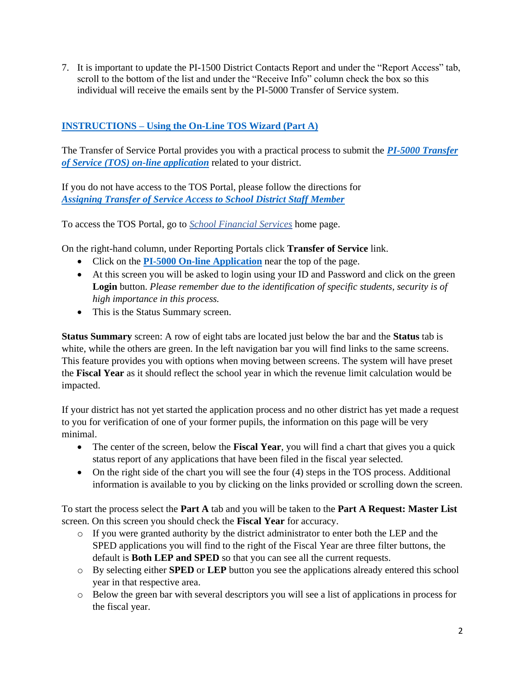7. It is important to update the PI-1500 District Contacts Report and under the "Report Access" tab, scroll to the bottom of the list and under the "Receive Info" column check the box so this individual will receive the emails sent by the PI-5000 Transfer of Service system.

# <span id="page-2-0"></span>**INSTRUCTIONS – [Using the On-Line TOS Wizard \(Part A\)](#page-2-0)**

The Transfer of Service Portal provides you with a practical process to submit the *[PI-5000 Transfer](https://sfs.dpi.wi.gov/TOS)  [of Service \(TOS\) on-line application](https://sfs.dpi.wi.gov/TOS)* related to your district.

If you do not have access to the TOS Portal, please follow the directions for *[Assigning Transfer of Service Access to School District Staff Member](#page-1-1)*

To access the TOS Portal, go to *[School Financial Services](https://dpi.wi.gov/sfs)* home page.

On the right-hand column, under Reporting Portals click **Transfer of Service** link.

- Click on the **[PI-5000 On-line Application](https://dpi.wi.gov/sfs/limits/exemptions/transfer-service)** near the top of the page.
- At this screen you will be asked to login using your ID and Password and click on the green **Login** button. *Please remember due to the identification of specific students, security is of high importance in this process.*
- This is the Status Summary screen.

**Status Summary** screen: A row of eight tabs are located just below the bar and the **Status** tab is white, while the others are green. In the left navigation bar you will find links to the same screens. This feature provides you with options when moving between screens. The system will have preset the **Fiscal Year** as it should reflect the school year in which the revenue limit calculation would be impacted.

If your district has not yet started the application process and no other district has yet made a request to you for verification of one of your former pupils, the information on this page will be very minimal.

- The center of the screen, below the **Fiscal Year**, you will find a chart that gives you a quick status report of any applications that have been filed in the fiscal year selected.
- On the right side of the chart you will see the four (4) steps in the TOS process. Additional information is available to you by clicking on the links provided or scrolling down the screen.

To start the process select the **Part A** tab and you will be taken to the **Part A Request: Master List** screen. On this screen you should check the **Fiscal Year** for accuracy.

- $\circ$  If you were granted authority by the district administrator to enter both the LEP and the SPED applications you will find to the right of the Fiscal Year are three filter buttons, the default is **Both LEP and SPED** so that you can see all the current requests.
- o By selecting either **SPED** or **LEP** button you see the applications already entered this school year in that respective area.
- o Below the green bar with several descriptors you will see a list of applications in process for the fiscal year.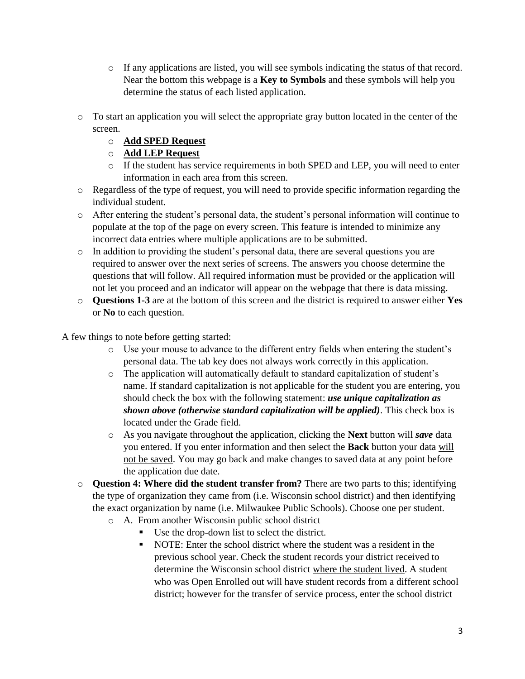- $\circ$  If any applications are listed, you will see symbols indicating the status of that record. Near the bottom this webpage is a **Key to Symbols** and these symbols will help you determine the status of each listed application.
- o To start an application you will select the appropriate gray button located in the center of the screen.
	- o **Add SPED Request**
	- o **Add LEP Request**
	- o If the student has service requirements in both SPED and LEP, you will need to enter information in each area from this screen.
- o Regardless of the type of request, you will need to provide specific information regarding the individual student.
- o After entering the student's personal data, the student's personal information will continue to populate at the top of the page on every screen. This feature is intended to minimize any incorrect data entries where multiple applications are to be submitted.
- o In addition to providing the student's personal data, there are several questions you are required to answer over the next series of screens. The answers you choose determine the questions that will follow. All required information must be provided or the application will not let you proceed and an indicator will appear on the webpage that there is data missing.
- o **Questions 1-3** are at the bottom of this screen and the district is required to answer either **Yes** or **No** to each question.

A few things to note before getting started:

- o Use your mouse to advance to the different entry fields when entering the student's personal data. The tab key does not always work correctly in this application.
- o The application will automatically default to standard capitalization of student's name. If standard capitalization is not applicable for the student you are entering, you should check the box with the following statement: *use unique capitalization as shown above (otherwise standard capitalization will be applied)*. This check box is located under the Grade field.
- o As you navigate throughout the application, clicking the **Next** button will *save* data you entered. If you enter information and then select the **Back** button your data will not be saved. You may go back and make changes to saved data at any point before the application due date.
- o **Question 4: Where did the student transfer from?** There are two parts to this; identifying the type of organization they came from (i.e. Wisconsin school district) and then identifying the exact organization by name (i.e. Milwaukee Public Schools). Choose one per student.
	- o A. From another Wisconsin public school district
		- Use the drop-down list to select the district.
		- NOTE: Enter the school district where the student was a resident in the previous school year. Check the student records your district received to determine the Wisconsin school district where the student lived. A student who was Open Enrolled out will have student records from a different school district; however for the transfer of service process, enter the school district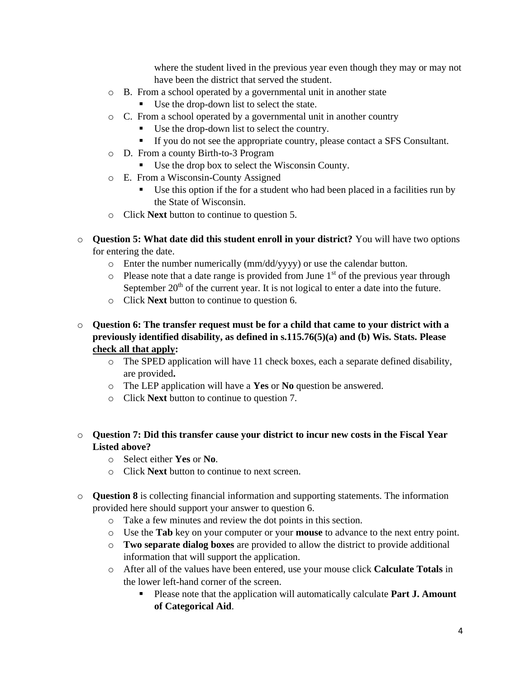where the student lived in the previous year even though they may or may not have been the district that served the student.

- o B. From a school operated by a governmental unit in another state
	- Use the drop-down list to select the state.
- o C. From a school operated by a governmental unit in another country
	- Use the drop-down list to select the country.
	- If you do not see the appropriate country, please contact a SFS Consultant.
- o D. From a county Birth-to-3 Program
	- Use the drop box to select the Wisconsin County.
- o E. From a Wisconsin-County Assigned
	- Use this option if the for a student who had been placed in a facilities run by the State of Wisconsin.
- o Click **Next** button to continue to question 5.
- o **Question 5: What date did this student enroll in your district?** You will have two options for entering the date.
	- o Enter the number numerically (mm/dd/yyyy) or use the calendar button.
	- $\circ$  Please note that a date range is provided from June 1<sup>st</sup> of the previous year through September  $20<sup>th</sup>$  of the current year. It is not logical to enter a date into the future.
	- o Click **Next** button to continue to question 6.
- o **Question 6: The transfer request must be for a child that came to your district with a previously identified disability, as defined in s.115.76(5)(a) and (b) Wis. Stats. Please check all that apply:**
	- o The SPED application will have 11 check boxes, each a separate defined disability, are provided**.**
	- o The LEP application will have a **Yes** or **No** question be answered.
	- o Click **Next** button to continue to question 7.

## o **Question 7: Did this transfer cause your district to incur new costs in the Fiscal Year Listed above?**

- o Select either **Yes** or **No**.
- o Click **Next** button to continue to next screen.
- o **Question 8** is collecting financial information and supporting statements. The information provided here should support your answer to question 6.
	- o Take a few minutes and review the dot points in this section.
	- o Use the **Tab** key on your computer or your **mouse** to advance to the next entry point.
	- o **Two separate dialog boxes** are provided to allow the district to provide additional information that will support the application.
	- o After all of the values have been entered, use your mouse click **Calculate Totals** in the lower left-hand corner of the screen.
		- Please note that the application will automatically calculate **Part J. Amount of Categorical Aid**.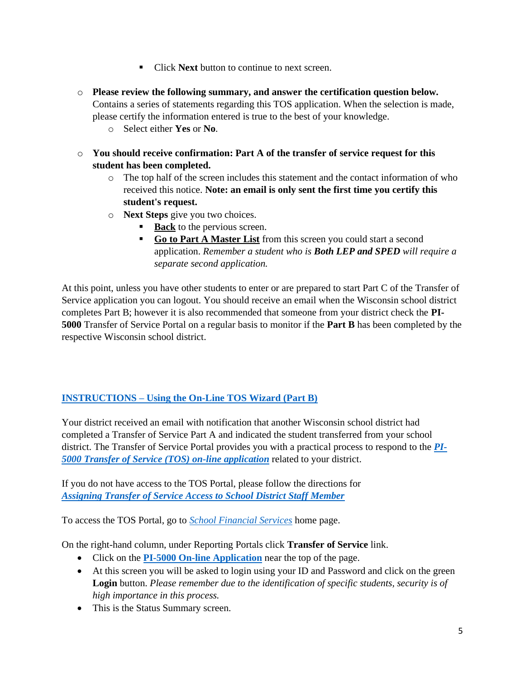- Click **Next** button to continue to next screen.
- o **Please review the following summary, and answer the certification question below.** Contains a series of statements regarding this TOS application. When the selection is made, please certify the information entered is true to the best of your knowledge.
	- o Select either **Yes** or **No**.
- o **You should receive confirmation: Part A of the transfer of service request for this student has been completed.**
	- o The top half of the screen includes this statement and the contact information of who received this notice. **Note: an email is only sent the first time you certify this student's request.**
	- o **Next Steps** give you two choices.
		- **Back** to the pervious screen.
		- **Go to Part A Master List** from this screen you could start a second application. *Remember a student who is Both LEP and SPED will require a separate second application.*

At this point, unless you have other students to enter or are prepared to start Part C of the Transfer of Service application you can logout. You should receive an email when the Wisconsin school district completes Part B; however it is also recommended that someone from your district check the **PI-5000** Transfer of Service Portal on a regular basis to monitor if the **Part B** has been completed by the respective Wisconsin school district.

## <span id="page-5-0"></span>**INSTRUCTIONS – [Using the On-Line TOS Wizard \(Part B\)](#page-5-0)**

Your district received an email with notification that another Wisconsin school district had completed a Transfer of Service Part A and indicated the student transferred from your school district. The Transfer of Service Portal provides you with a practical process to respond to the *[PI-](https://sfs.dpi.wi.gov/TOS)[5000 Transfer of Service \(TOS\) on-line application](https://sfs.dpi.wi.gov/TOS)* related to your district.

If you do not have access to the TOS Portal, please follow the directions for *[Assigning Transfer of Service Access to School District Staff Member](#page-1-2)*

To access the TOS Portal, go to *[School Financial Services](https://dpi.wi.gov/sfs)* home page.

On the right-hand column, under Reporting Portals click **Transfer of Service** link.

- Click on the **[PI-5000 On-line Application](https://dpi.wi.gov/sfs/limits/exemptions/transfer-service)** near the top of the page.
- At this screen you will be asked to login using your ID and Password and click on the green **Login** button. *Please remember due to the identification of specific students, security is of high importance in this process.*
- This is the Status Summary screen.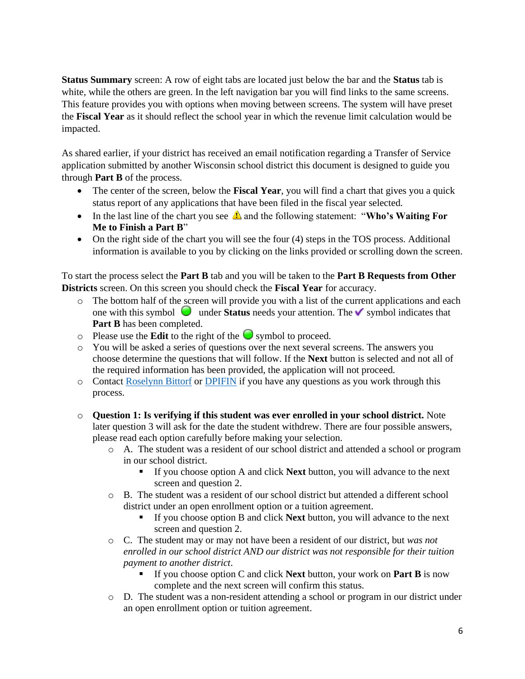**Status Summary** screen: A row of eight tabs are located just below the bar and the **Status** tab is white, while the others are green. In the left navigation bar you will find links to the same screens. This feature provides you with options when moving between screens. The system will have preset the **Fiscal Year** as it should reflect the school year in which the revenue limit calculation would be impacted.

As shared earlier, if your district has received an email notification regarding a Transfer of Service application submitted by another Wisconsin school district this document is designed to guide you through **Part B** of the process.

- The center of the screen, below the **Fiscal Year**, you will find a chart that gives you a quick status report of any applications that have been filed in the fiscal year selected.
- In the last line of the chart you see  $\triangle$  and the following statement: "Who's Waiting For **Me to Finish a Part B**"
- On the right side of the chart you will see the four (4) steps in the TOS process. Additional information is available to you by clicking on the links provided or scrolling down the screen.

To start the process select the **Part B** tab and you will be taken to the **Part B Requests from Other Districts** screen. On this screen you should check the **Fiscal Year** for accuracy.

- o The bottom half of the screen will provide you with a list of the current applications and each one with this symbol  $\Box$  under **Status** needs your attention. The  $\lor$  symbol indicates that **Part B** has been completed.
- $\circ$  Please use the **Edit** to the right of the  $\bullet$  symbol to proceed.
- o You will be asked a series of questions over the next several screens. The answers you choose determine the questions that will follow. If the **Next** button is selected and not all of the required information has been provided, the application will not proceed.
- o Contact [Roselynn Bittorf](mailto:roselynn.bittorf@dpi.wi.gov) or [DPIFIN](mailto:DPIFIN@dpi.wi.gov) if you have any questions as you work through this process.
- o **Question 1: Is verifying if this student was ever enrolled in your school district.** Note later question 3 will ask for the date the student withdrew. There are four possible answers, please read each option carefully before making your selection.
	- o A. The student was a resident of our school district and attended a school or program in our school district.
		- If you choose option A and click **Next** button, you will advance to the next screen and question 2.
	- o B. The student was a resident of our school district but attended a different school district under an open enrollment option or a tuition agreement.
		- If you choose option B and click **Next** button, you will advance to the next screen and question 2.
	- o C. The student may or may not have been a resident of our district, but *was not enrolled in our school district AND our district was not responsible for their tuition payment to another district*.
		- If you choose option C and click **Next** button, your work on **Part B** is now complete and the next screen will confirm this status.
	- o D. The student was a non-resident attending a school or program in our district under an open enrollment option or tuition agreement.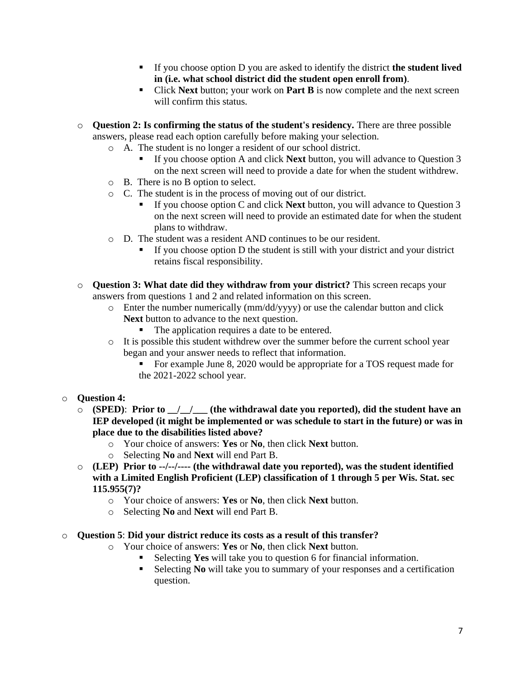- If you choose option D you are asked to identify the district **the student lived in (i.e. what school district did the student open enroll from)**.
- Click **Next** button; your work on **Part B** is now complete and the next screen will confirm this status.
- o **Question 2: Is confirming the status of the student's residency.** There are three possible answers, please read each option carefully before making your selection.
	- o A. The student is no longer a resident of our school district.
		- If you choose option A and click **Next** button, you will advance to Question 3 on the next screen will need to provide a date for when the student withdrew.
	- o B. There is no B option to select.
	- o C. The student is in the process of moving out of our district.
		- If you choose option C and click **Next** button, you will advance to Question 3 on the next screen will need to provide an estimated date for when the student plans to withdraw.
	- o D. The student was a resident AND continues to be our resident.
		- If you choose option D the student is still with your district and your district retains fiscal responsibility.
- o **Question 3: What date did they withdraw from your district?** This screen recaps your answers from questions 1 and 2 and related information on this screen.
	- o Enter the number numerically (mm/dd/yyyy) or use the calendar button and click **Next** button to advance to the next question.
		- The application requires a date to be entered.
	- o It is possible this student withdrew over the summer before the current school year began and your answer needs to reflect that information.
		- For example June 8, 2020 would be appropriate for a TOS request made for the 2021-2022 school year.
- o **Question 4:**
	- o **(SPED)**: **Prior to \_\_/\_\_/\_\_\_ (the withdrawal date you reported), did the student have an IEP developed (it might be implemented or was schedule to start in the future) or was in place due to the disabilities listed above?**
		- o Your choice of answers: **Yes** or **No**, then click **Next** button.
		- o Selecting **No** and **Next** will end Part B.
	- o **(LEP) Prior to --/--/---- (the withdrawal date you reported), was the student identified with a Limited English Proficient (LEP) classification of 1 through 5 per Wis. Stat. sec 115.955(7)?**
		- o Your choice of answers: **Yes** or **No**, then click **Next** button.
		- o Selecting **No** and **Next** will end Part B.

#### o **Question 5**: **Did your district reduce its costs as a result of this transfer?**

- o Your choice of answers: **Yes** or **No**, then click **Next** button.
	- Selecting **Yes** will take you to question 6 for financial information.
	- Selecting **No** will take you to summary of your responses and a certification question.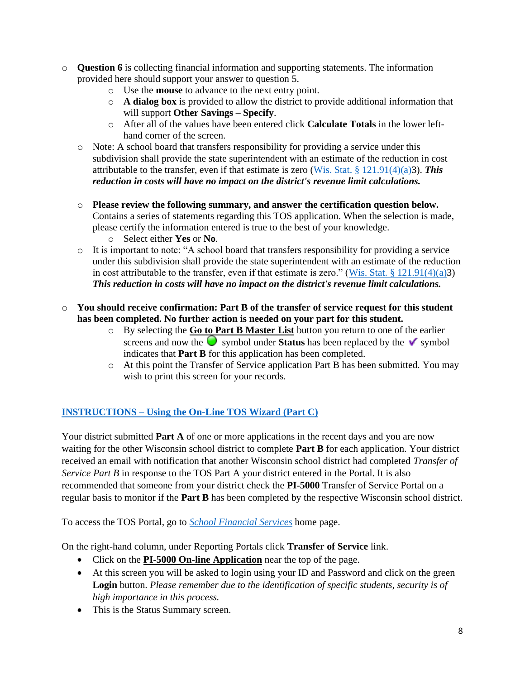- o **Question 6** is collecting financial information and supporting statements. The information provided here should support your answer to question 5.
	- o Use the **mouse** to advance to the next entry point.
	- o **A dialog box** is provided to allow the district to provide additional information that will support **Other Savings – Specify**.
	- o After all of the values have been entered click **Calculate Totals** in the lower lefthand corner of the screen.
	- o Note: A school board that transfers responsibility for providing a service under this subdivision shall provide the state superintendent with an estimate of the reduction in cost attributable to the transfer, even if that estimate is zero [\(Wis. Stat. § 121.91\(4\)\(a\)3](http://docs.legis.wisconsin.gov/statutes/statutes/121/VII/91/4/a)). *This reduction in costs will have no impact on the district's revenue limit calculations.*
	- o **Please review the following summary, and answer the certification question below.** Contains a series of statements regarding this TOS application. When the selection is made, please certify the information entered is true to the best of your knowledge. o Select either **Yes** or **No**.
	- o It is important to note: "A school board that transfers responsibility for providing a service under this subdivision shall provide the state superintendent with an estimate of the reduction in cost attributable to the transfer, even if that estimate is zero." (Wis. Stat.  $\S 121.91(4)(a)3$ ) *This reduction in costs will have no impact on the district's revenue limit calculations.*

#### o **You should receive confirmation: Part B of the transfer of service request for this student has been completed. No further action is needed on your part for this student.**

- o By selecting the **Go to Part B Master List** button you return to one of the earlier screens and now the  $\bullet$  symbol under **Status** has been replaced by the  $\bullet$  symbol indicates that **Part B** for this application has been completed.
- o At this point the Transfer of Service application Part B has been submitted. You may wish to print this screen for your records.

# <span id="page-8-0"></span>**INSTRUCTIONS – [Using the On-Line TOS Wizard \(Part C\)](#page-8-0)**

Your district submitted **Part A** of one or more applications in the recent days and you are now waiting for the other Wisconsin school district to complete **Part B** for each application. Your district received an email with notification that another Wisconsin school district had completed *Transfer of Service Part B* in response to the TOS Part A your district entered in the Portal. It is also recommended that someone from your district check the **PI-5000** Transfer of Service Portal on a regular basis to monitor if the **Part B** has been completed by the respective Wisconsin school district.

To access the TOS Portal, go to *[School Financial Services](https://dpi.wi.gov/sfs)* home page.

On the right-hand column, under Reporting Portals click **Transfer of Service** link.

- Click on the **PI-5000 On-line Application** near the top of the page.
- At this screen you will be asked to login using your ID and Password and click on the green **Login** button. *Please remember due to the identification of specific students, security is of high importance in this process.*
- This is the Status Summary screen.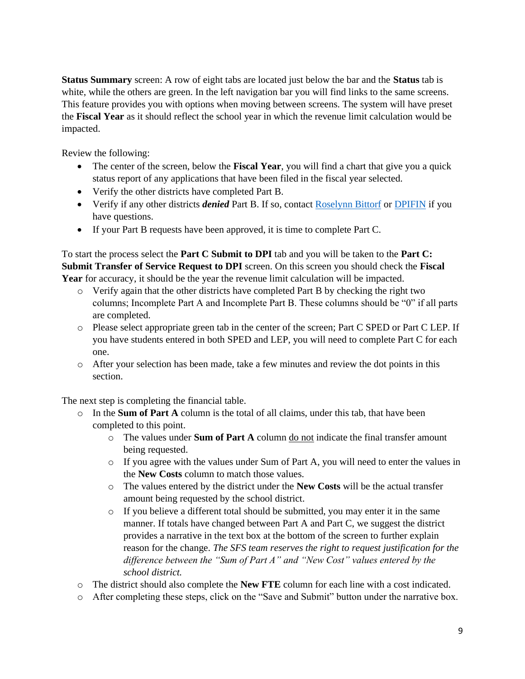**Status Summary** screen: A row of eight tabs are located just below the bar and the **Status** tab is white, while the others are green. In the left navigation bar you will find links to the same screens. This feature provides you with options when moving between screens. The system will have preset the **Fiscal Year** as it should reflect the school year in which the revenue limit calculation would be impacted.

Review the following:

- The center of the screen, below the **Fiscal Year**, you will find a chart that give you a quick status report of any applications that have been filed in the fiscal year selected.
- Verify the other districts have completed Part B.
- Verify if any other districts *denied* Part B. If so, contact [Roselynn Bittorf](mailto:roselynn.bittorf@dpi.wi.gov) or [DPIFIN](mailto:DPIFIN@dpi.wi.gov) if you have questions.
- If your Part B requests have been approved, it is time to complete Part C.

To start the process select the **Part C Submit to DPI** tab and you will be taken to the **Part C: Submit Transfer of Service Request to DPI** screen. On this screen you should check the **Fiscal Year** for accuracy, it should be the year the revenue limit calculation will be impacted.

- o Verify again that the other districts have completed Part B by checking the right two columns; Incomplete Part A and Incomplete Part B. These columns should be "0" if all parts are completed.
- o Please select appropriate green tab in the center of the screen; Part C SPED or Part C LEP. If you have students entered in both SPED and LEP, you will need to complete Part C for each one.
- o After your selection has been made, take a few minutes and review the dot points in this section.

The next step is completing the financial table.

- o In the **Sum of Part A** column is the total of all claims, under this tab, that have been completed to this point.
	- o The values under **Sum of Part A** column do not indicate the final transfer amount being requested.
	- o If you agree with the values under Sum of Part A, you will need to enter the values in the **New Costs** column to match those values.
	- o The values entered by the district under the **New Costs** will be the actual transfer amount being requested by the school district.
	- $\circ$  If you believe a different total should be submitted, you may enter it in the same manner. If totals have changed between Part A and Part C, we suggest the district provides a narrative in the text box at the bottom of the screen to further explain reason for the change. *The SFS team reserves the right to request justification for the difference between the "Sum of Part A" and "New Cost" values entered by the school district.*
- o The district should also complete the **New FTE** column for each line with a cost indicated.
- o After completing these steps, click on the "Save and Submit" button under the narrative box.